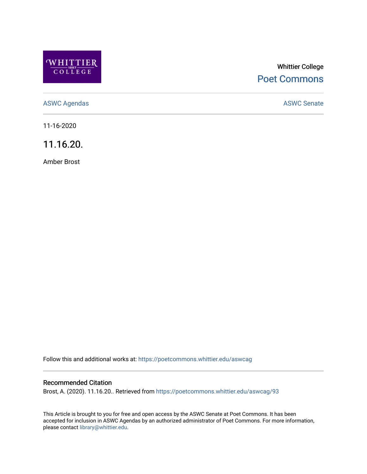

# Whittier College [Poet Commons](https://poetcommons.whittier.edu/)

[ASWC Agendas](https://poetcommons.whittier.edu/aswcag) **ASWC Senate** 

11-16-2020

11.16.20.

Amber Brost

Follow this and additional works at: [https://poetcommons.whittier.edu/aswcag](https://poetcommons.whittier.edu/aswcag?utm_source=poetcommons.whittier.edu%2Faswcag%2F93&utm_medium=PDF&utm_campaign=PDFCoverPages) 

# Recommended Citation

Brost, A. (2020). 11.16.20.. Retrieved from [https://poetcommons.whittier.edu/aswcag/93](https://poetcommons.whittier.edu/aswcag/93?utm_source=poetcommons.whittier.edu%2Faswcag%2F93&utm_medium=PDF&utm_campaign=PDFCoverPages) 

This Article is brought to you for free and open access by the ASWC Senate at Poet Commons. It has been accepted for inclusion in ASWC Agendas by an authorized administrator of Poet Commons. For more information, please contact [library@whittier.edu](mailto:library@whittier.edu).